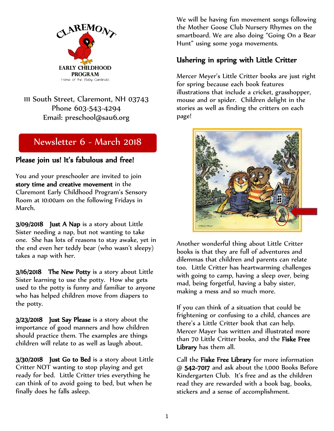

111 South Street, Claremont, NH 03743 Phone 603-543-4294 Email: preschool@sau6.org

# Newsletter 6 - March 2018

#### Please join us! It's fabulous and free!

You and your preschooler are invited to join story time and creative movement in the Claremont Early Childhood Program's Sensory Room at 10:00am on the following Fridays in March.

3/09/2018 Just A Nap is a story about Little Sister needing a nap, but not wanting to take one. She has lots of reasons to stay awake, yet in the end even her teddy bear (who wasn't sleepy) takes a nap with her.

3/16/2018 The New Potty is a story about Little Sister learning to use the potty. How she gets used to the potty is funny and familiar to anyone who has helped children move from diapers to the potty.

3/23/2018 Just Say Please is a story about the importance of good manners and how children should practice them. The examples are things children will relate to as well as laugh about.

3/30/2018 Just Go to Bed is a story about Little Critter NOT wanting to stop playing and get ready for bed. Little Critter tries everything he can think of to avoid going to bed, but when he finally does he falls asleep.

We will be having fun movement songs following the Mother Goose Club Nursery Rhymes on the smartboard. We are also doing "Going On a Bear Hunt" using some yoga movements.

### Ushering in spring with Little Critter

Mercer Meyer's Little Critter books are just right for spring because each book features illustrations that include a cricket, grasshopper, mouse and or spider. Children delight in the stories as well as finding the critters on each page!



Another wonderful thing about Little Critter books is that they are full of adventures and dilemmas that children and parents can relate too. Little Critter has heartwarming challenges with going to camp, having a sleep over, being mad, being forgetful, having a baby sister, making a mess and so much more.

If you can think of a situation that could be frightening or confusing to a child, chances are there's a Little Critter book that can help. Mercer Mayer has written and illustrated more than 70 Little Critter books, and the Fiske Free Library has them all.

Call the Fiske Free Library for more information @ 542-7017 and ask about the 1,000 Books Before Kindergarten Club. It's free and as the children read they are rewarded with a book bag, books, stickers and a sense of accomplishment.